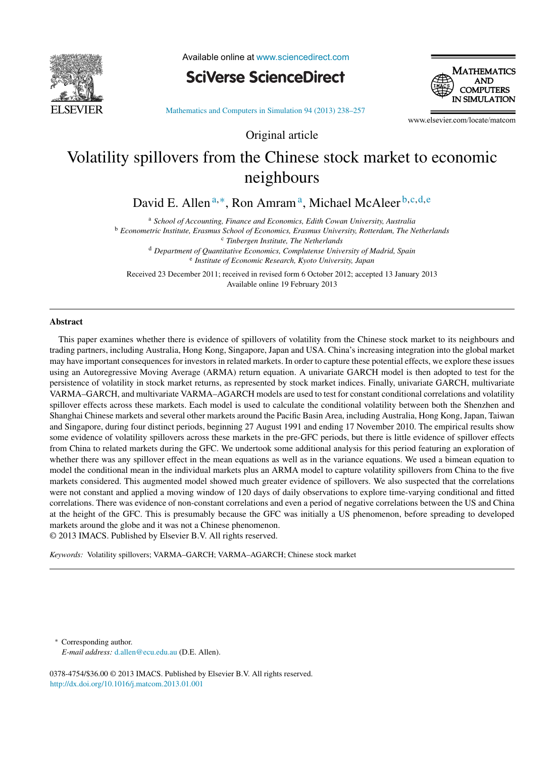

Available online at [www.sciencedirect.com](http://www.sciencedirect.com/science/journal/03784754)

**SciVerse ScienceDirect** 



[Mathematics and Computers in Simulation 94 \(2013\) 238–257](dx.doi.org/10.1016/j.matcom.2013.01.001)

www.elsevier.com/locate/matcom

# Volatility spillovers from the Chinese stock market to economic neighbours

Original article

David E. Allen <sup>a</sup>*,*∗, Ron Amrama, Michael McAleer <sup>b</sup>*,*c*,*d*,*<sup>e</sup>

<sup>a</sup> *School of Accounting, Finance and Economics, Edith Cowan University, Australia* <sup>b</sup> *Econometric Institute, Erasmus School of Economics, Erasmus University, Rotterdam, The Netherlands* <sup>c</sup> *Tinbergen Institute, The Netherlands* <sup>d</sup> *Department of Quantitative Economics, Complutense University of Madrid, Spain* <sup>e</sup> *Institute of Economic Research, Kyoto University, Japan*

Received 23 December 2011; received in revised form 6 October 2012; accepted 13 January 2013 Available online 19 February 2013

### **Abstract**

This paper examines whether there is evidence of spillovers of volatility from the Chinese stock market to its neighbours and trading partners, including Australia, Hong Kong, Singapore, Japan and USA. China's increasing integration into the global market may have important consequences for investors in related markets. In order to capture these potential effects, we explore these issues using an Autoregressive Moving Average (ARMA) return equation. A univariate GARCH model is then adopted to test for the persistence of volatility in stock market returns, as represented by stock market indices. Finally, univariate GARCH, multivariate VARMA–GARCH, and multivariate VARMA–AGARCH models are used to test for constant conditional correlations and volatility spillover effects across these markets. Each model is used to calculate the conditional volatility between both the Shenzhen and Shanghai Chinese markets and several other markets around the Pacific Basin Area, including Australia, Hong Kong, Japan, Taiwan and Singapore, during four distinct periods, beginning 27 August 1991 and ending 17 November 2010. The empirical results show some evidence of volatility spillovers across these markets in the pre-GFC periods, but there is little evidence of spillover effects from China to related markets during the GFC. We undertook some additional analysis for this period featuring an exploration of whether there was any spillover effect in the mean equations as well as in the variance equations. We used a bimean equation to model the conditional mean in the individual markets plus an ARMA model to capture volatility spillovers from China to the five markets considered. This augmented model showed much greater evidence of spillovers. We also suspected that the correlations were not constant and applied a moving window of 120 days of daily observations to explore time-varying conditional and fitted correlations. There was evidence of non-constant correlations and even a period of negative correlations between the US and China at the height of the GFC. This is presumably because the GFC was initially a US phenomenon, before spreading to developed markets around the globe and it was not a Chinese phenomenon. © 2013 IMACS. Published by Elsevier B.V. All rights reserved.

*Keywords:* Volatility spillovers; VARMA–GARCH; VARMA–AGARCH; Chinese stock market

Corresponding author. *E-mail address:* [d.allen@ecu.edu.au](mailto:d.allen@ecu.edu.au) (D.E. Allen).

0378-4754/\$36.00 © 2013 IMACS. Published by Elsevier B.V. All rights reserved. [http://dx.doi.org/10.1016/j.matcom.2013.01.001](dx.doi.org/10.1016/j.matcom.2013.01.001)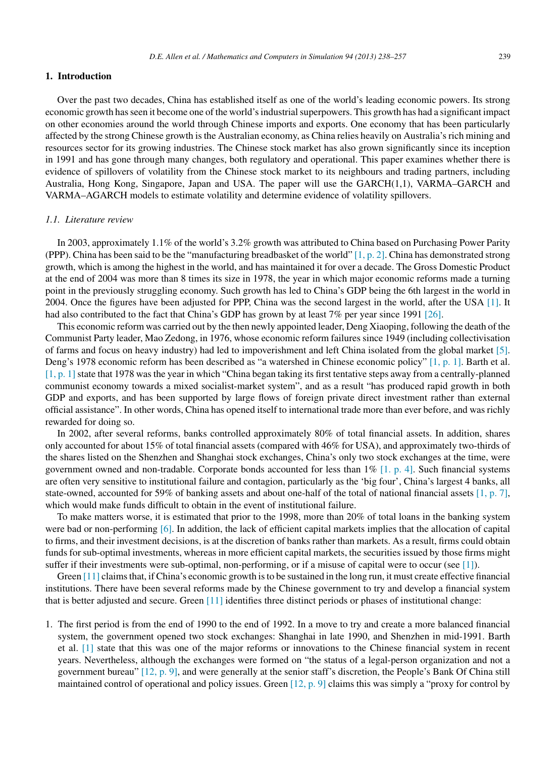## **1. Introduction**

Over the past two decades, China has established itself as one of the world's leading economic powers. Its strong economic growth has seen it become one of the world's industrial superpowers. This growth has had a significant impact on other economies around the world through Chinese imports and exports. One economy that has been particularly affected by the strong Chinese growth is the Australian economy, as China relies heavily on Australia's rich mining and resources sector for its growing industries. The Chinese stock market has also grown significantly since its inception in 1991 and has gone through many changes, both regulatory and operational. This paper examines whether there is evidence of spillovers of volatility from the Chinese stock market to its neighbours and trading partners, including Australia, Hong Kong, Singapore, Japan and USA. The paper will use the GARCH(1,1), VARMA–GARCH and VARMA–AGARCH models to estimate volatility and determine evidence of volatility spillovers.

#### *1.1. Literature review*

In 2003, approximately 1.1% of the world's 3.2% growth was attributed to China based on Purchasing Power Parity (PPP). China has been said to be the "manufacturing breadbasket of the world"  $[1, p. 2]$ . China has demonstrated strong growth, which is among the highest in the world, and has maintained it for over a decade. The Gross Domestic Product at the end of 2004 was more than 8 times its size in 1978, the year in which major economic reforms made a turning point in the previously struggling economy. Such growth has led to China's GDP being the 6th largest in the world in 2004. Once the figures have been adjusted for PPP, China was the second largest in the world, after the USA [\[1\].](#page--1-0) It had also contributed to the fact that China's GDP has grown by at least 7% per year since 1991 [\[26\].](#page--1-0)

This economic reform was carried out by the then newly appointed leader, Deng Xiaoping, following the death of the Communist Party leader, Mao Zedong, in 1976, whose economic reform failures since 1949 (including collectivisation of farms and focus on heavy industry) had led to impoverishment and left China isolated from the global market [\[5\].](#page--1-0) Deng's 1978 economic reform has been described as "a watershed in Chinese economic policy" [\[1, p. 1\].](#page--1-0) Barth et al.  $[1, p. 1]$  state that 1978 was the year in which "China began taking its first tentative steps away from a centrally-planned communist economy towards a mixed socialist-market system", and as a result "has produced rapid growth in both GDP and exports, and has been supported by large flows of foreign private direct investment rather than external official assistance". In other words, China has opened itself to international trade more than ever before, and was richly rewarded for doing so.

In 2002, after several reforms, banks controlled approximately 80% of total financial assets. In addition, shares only accounted for about 15% of total financial assets (compared with 46% for USA), and approximately two-thirds of the shares listed on the Shenzhen and Shanghai stock exchanges, China's only two stock exchanges at the time, were government owned and non-tradable. Corporate bonds accounted for less than 1% [\[1. p. 4\].](#page--1-0) Such financial systems are often very sensitive to institutional failure and contagion, particularly as the 'big four', China's largest 4 banks, all state-owned, accounted for 59% of banking assets and about one-half of the total of national financial assets [\[1, p. 7\],](#page--1-0) which would make funds difficult to obtain in the event of institutional failure.

To make matters worse, it is estimated that prior to the 1998, more than 20% of total loans in the banking system were bad or non-performing [\[6\]. I](#page--1-0)n addition, the lack of efficient capital markets implies that the allocation of capital to firms, and their investment decisions, is at the discretion of banks rather than markets. As a result, firms could obtain funds for sub-optimal investments, whereas in more efficient capital markets, the securities issued by those firms might suffer if their investments were sub-optimal, non-performing, or if a misuse of capital were to occur (see [\[1\]\).](#page--1-0)

Green [\[11\]](#page--1-0) claims that, if China's economic growth is to be sustained in the long run, it must create effective financial institutions. There have been several reforms made by the Chinese government to try and develop a financial system that is better adjusted and secure. Green [\[11\]](#page--1-0) identifies three distinct periods or phases of institutional change:

1. The first period is from the end of 1990 to the end of 1992. In a move to try and create a more balanced financial system, the government opened two stock exchanges: Shanghai in late 1990, and Shenzhen in mid-1991. Barth et al. [\[1\]](#page--1-0) state that this was one of the major reforms or innovations to the Chinese financial system in recent years. Nevertheless, although the exchanges were formed on "the status of a legal-person organization and not a government bureau" [\[12, p. 9\],](#page--1-0) and were generally at the senior staff's discretion, the People's Bank Of China still maintained control of operational and policy issues. Green [\[12, p. 9\]](#page--1-0) claims this was simply a "proxy for control by